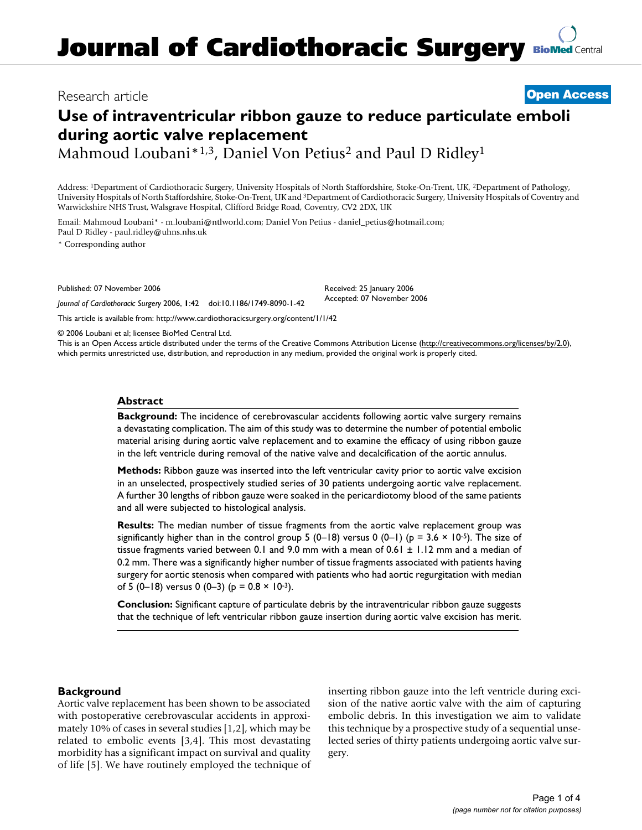# Research article **[Open Access](http://www.biomedcentral.com/info/about/charter/)**

# **Use of intraventricular ribbon gauze to reduce particulate emboli during aortic valve replacement**

Mahmoud Loubani\*<sup>1,3</sup>, Daniel Von Petius<sup>2</sup> and Paul D Ridley<sup>1</sup>

Address: 1Department of Cardiothoracic Surgery, University Hospitals of North Staffordshire, Stoke-On-Trent, UK, 2Department of Pathology, University Hospitals of North Staffordshire, Stoke-On-Trent, UK and 3Department of Cardiothoracic Surgery, University Hospitals of Coventry and Warwickshire NHS Trust, Walsgrave Hospital, Clifford Bridge Road, Coventry, CV2 2DX, UK

Email: Mahmoud Loubani\* - m.loubani@ntlworld.com; Daniel Von Petius - daniel\_petius@hotmail.com; Paul D Ridley - paul.ridley@uhns.nhs.uk

\* Corresponding author

Published: 07 November 2006

*Journal of Cardiothoracic Surgery* 2006, **1**:42 doi:10.1186/1749-8090-1-42

[This article is available from: http://www.cardiothoracicsurgery.org/content/1/1/42](http://www.cardiothoracicsurgery.org/content/1/1/42)

© 2006 Loubani et al; licensee BioMed Central Ltd.

This is an Open Access article distributed under the terms of the Creative Commons Attribution License [\(http://creativecommons.org/licenses/by/2.0\)](http://creativecommons.org/licenses/by/2.0), which permits unrestricted use, distribution, and reproduction in any medium, provided the original work is properly cited.

Received: 25 January 2006 Accepted: 07 November 2006

## **Abstract**

**Background:** The incidence of cerebrovascular accidents following aortic valve surgery remains a devastating complication. The aim of this study was to determine the number of potential embolic material arising during aortic valve replacement and to examine the efficacy of using ribbon gauze in the left ventricle during removal of the native valve and decalcification of the aortic annulus.

**Methods:** Ribbon gauze was inserted into the left ventricular cavity prior to aortic valve excision in an unselected, prospectively studied series of 30 patients undergoing aortic valve replacement. A further 30 lengths of ribbon gauze were soaked in the pericardiotomy blood of the same patients and all were subjected to histological analysis.

**Results:** The median number of tissue fragments from the aortic valve replacement group was significantly higher than in the control group 5 (0–18) versus 0 (0–1) (p = 3.6  $\times$  10<sup>-5</sup>). The size of tissue fragments varied between 0.1 and 9.0 mm with a mean of  $0.61 \pm 1.12$  mm and a median of 0.2 mm. There was a significantly higher number of tissue fragments associated with patients having surgery for aortic stenosis when compared with patients who had aortic regurgitation with median of 5 (0–18) versus 0 (0–3) ( $p = 0.8 \times 10^{-3}$ ).

**Conclusion:** Significant capture of particulate debris by the intraventricular ribbon gauze suggests that the technique of left ventricular ribbon gauze insertion during aortic valve excision has merit.

# **Background**

Aortic valve replacement has been shown to be associated with postoperative cerebrovascular accidents in approximately 10% of cases in several studies [1,2], which may be related to embolic events [3,4]. This most devastating morbidity has a significant impact on survival and quality of life [5]. We have routinely employed the technique of inserting ribbon gauze into the left ventricle during excision of the native aortic valve with the aim of capturing embolic debris. In this investigation we aim to validate this technique by a prospective study of a sequential unselected series of thirty patients undergoing aortic valve surgery.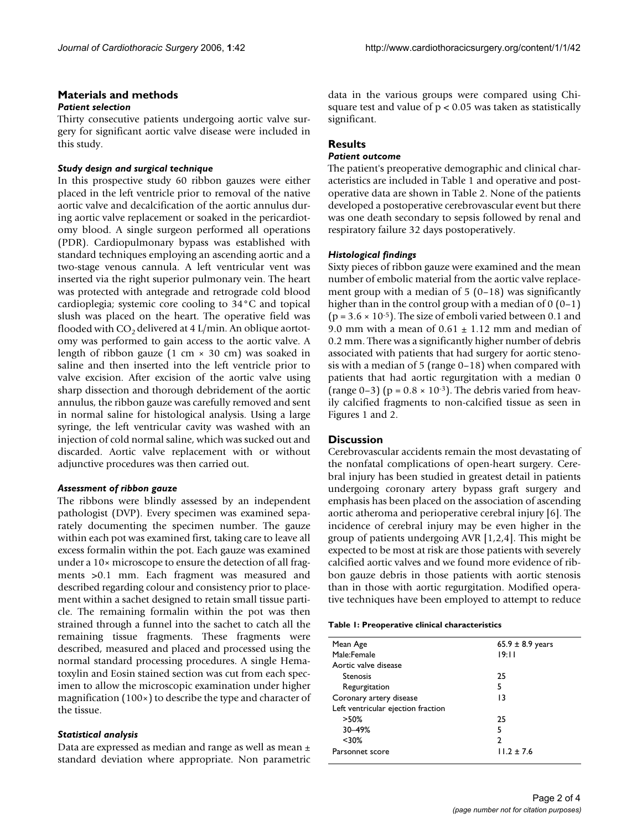# **Materials and methods**

#### *Patient selection*

Thirty consecutive patients undergoing aortic valve surgery for significant aortic valve disease were included in this study.

# *Study design and surgical technique*

In this prospective study 60 ribbon gauzes were either placed in the left ventricle prior to removal of the native aortic valve and decalcification of the aortic annulus during aortic valve replacement or soaked in the pericardiotomy blood. A single surgeon performed all operations (PDR). Cardiopulmonary bypass was established with standard techniques employing an ascending aortic and a two-stage venous cannula. A left ventricular vent was inserted via the right superior pulmonary vein. The heart was protected with antegrade and retrograde cold blood cardioplegia; systemic core cooling to 34°C and topical slush was placed on the heart. The operative field was flooded with  $CO<sub>2</sub>$  delivered at 4 L/min. An oblique aortotomy was performed to gain access to the aortic valve. A length of ribbon gauze  $(1 \text{ cm} \times 30 \text{ cm})$  was soaked in saline and then inserted into the left ventricle prior to valve excision. After excision of the aortic valve using sharp dissection and thorough debridement of the aortic annulus, the ribbon gauze was carefully removed and sent in normal saline for histological analysis. Using a large syringe, the left ventricular cavity was washed with an injection of cold normal saline, which was sucked out and discarded. Aortic valve replacement with or without adjunctive procedures was then carried out.

#### *Assessment of ribbon gauze*

The ribbons were blindly assessed by an independent pathologist (DVP). Every specimen was examined separately documenting the specimen number. The gauze within each pot was examined first, taking care to leave all excess formalin within the pot. Each gauze was examined under a 10× microscope to ensure the detection of all fragments >0.1 mm. Each fragment was measured and described regarding colour and consistency prior to placement within a sachet designed to retain small tissue particle. The remaining formalin within the pot was then strained through a funnel into the sachet to catch all the remaining tissue fragments. These fragments were described, measured and placed and processed using the normal standard processing procedures. A single Hematoxylin and Eosin stained section was cut from each specimen to allow the microscopic examination under higher magnification (100×) to describe the type and character of the tissue.

#### *Statistical analysis*

Data are expressed as median and range as well as mean ± standard deviation where appropriate. Non parametric data in the various groups were compared using Chisquare test and value of  $p < 0.05$  was taken as statistically significant.

# **Results**

#### *Patient outcome*

The patient's preoperative demographic and clinical characteristics are included in Table 1 and operative and postoperative data are shown in Table 2. None of the patients developed a postoperative cerebrovascular event but there was one death secondary to sepsis followed by renal and respiratory failure 32 days postoperatively.

## *Histological findings*

Sixty pieces of ribbon gauze were examined and the mean number of embolic material from the aortic valve replacement group with a median of  $5(0-18)$  was significantly higher than in the control group with a median of  $0(0-1)$  $(p = 3.6 \times 10^{-5})$ . The size of emboli varied between 0.1 and 9.0 mm with a mean of  $0.61 \pm 1.12$  mm and median of 0.2 mm. There was a significantly higher number of debris associated with patients that had surgery for aortic stenosis with a median of 5 (range 0–18) when compared with patients that had aortic regurgitation with a median 0 (range  $0-3$ ) (p =  $0.8 \times 10^{-3}$ ). The debris varied from heavily calcified fragments to non-calcified tissue as seen in Figures 1 and 2.

#### **Discussion**

Cerebrovascular accidents remain the most devastating of the nonfatal complications of open-heart surgery. Cerebral injury has been studied in greatest detail in patients undergoing coronary artery bypass graft surgery and emphasis has been placed on the association of ascending aortic atheroma and perioperative cerebral injury [6]. The incidence of cerebral injury may be even higher in the group of patients undergoing AVR [1,2,4]. This might be expected to be most at risk are those patients with severely calcified aortic valves and we found more evidence of ribbon gauze debris in those patients with aortic stenosis than in those with aortic regurgitation. Modified operative techniques have been employed to attempt to reduce

| Mean Age                           | $65.9 \pm 8.9$ years |
|------------------------------------|----------------------|
| Male:Female                        | 19:11                |
| Aortic valve disease               |                      |
| Stenosis                           | 25                   |
| Regurgitation                      | 5                    |
| Coronary artery disease            | 13                   |
| Left ventricular ejection fraction |                      |
| $>50\%$                            | 25                   |
| 30-49%                             | 5                    |
| $30%$                              | 2                    |
| Parsonnet score                    | $11.2 + 7.6$         |
|                                    |                      |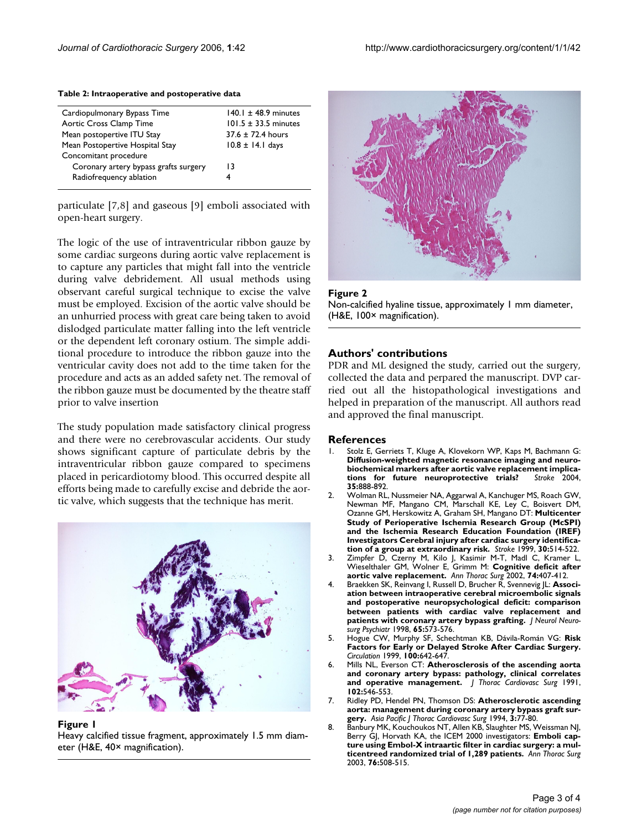| Cardiopulmonary Bypass Time           | $140.1 \pm 48.9$ minutes |
|---------------------------------------|--------------------------|
| Aortic Cross Clamp Time               | $101.5 \pm 33.5$ minutes |
| Mean postopertive ITU Stay            | $37.6 \pm 72.4$ hours    |
| Mean Postopertive Hospital Stay       | $10.8 \pm 14.1$ days     |
| Concomitant procedure                 |                          |
| Coronary artery bypass grafts surgery | 13                       |
| Radiofrequency ablation               | 4                        |
|                                       |                          |

#### **Table 2: Intraoperative and postoperative data**

particulate [7,8] and gaseous [9] emboli associated with open-heart surgery.

The logic of the use of intraventricular ribbon gauze by some cardiac surgeons during aortic valve replacement is to capture any particles that might fall into the ventricle during valve debridement. All usual methods using observant careful surgical technique to excise the valve must be employed. Excision of the aortic valve should be an unhurried process with great care being taken to avoid dislodged particulate matter falling into the left ventricle or the dependent left coronary ostium. The simple additional procedure to introduce the ribbon gauze into the ventricular cavity does not add to the time taken for the procedure and acts as an added safety net. The removal of the ribbon gauze must be documented by the theatre staff prior to valve insertion

The study population made satisfactory clinical progress and there were no cerebrovascular accidents. Our study shows significant capture of particulate debris by the intraventricular ribbon gauze compared to specimens placed in pericardiotomy blood. This occurred despite all efforts being made to carefully excise and debride the aortic valve, which suggests that the technique has merit.



Figure I.

Heavy calcified tissue fragment, approximately 1.5 mm diameter (H&E, 40× magnification).



#### Figure 2

Non-calcified hyaline tissue, approximately 1 mm diameter, (H&E, 100× magnification).

## **Authors' contributions**

PDR and ML designed the study, carried out the surgery, collected the data and perpared the manuscript. DVP carried out all the histopathological investigations and helped in preparation of the manuscript. All authors read and approved the final manuscript.

#### **References**

- 1. Stolz E, Gerriets T, Kluge A, Klovekorn WP, Kaps M, Bachmann G: **[Diffusion-weighted magnetic resonance imaging and neuro](http://www.ncbi.nlm.nih.gov/entrez/query.fcgi?cmd=Retrieve&db=PubMed&dopt=Abstract&list_uids=14976326)biochemical markers after aortic valve replacement implications for future neuroprotective trials?** Stroke 2004. [tions for future neuroprotective trials?](http://www.ncbi.nlm.nih.gov/entrez/query.fcgi?cmd=Retrieve&db=PubMed&dopt=Abstract&list_uids=14976326) **35:**888-892.
- 2. Wolman RL, Nussmeier NA, Aggarwal A, Kanchuger MS, Roach GW, Newman MF, Mangano CM, Marschall KE, Ley C, Boisvert DM, Ozanne GM, Herskowitz A, Graham SH, Mangano DT: **[Multicenter](http://www.ncbi.nlm.nih.gov/entrez/query.fcgi?cmd=Retrieve&db=PubMed&dopt=Abstract&list_uids=10066845) [Study of Perioperative Ischemia Research Group \(McSPI\)](http://www.ncbi.nlm.nih.gov/entrez/query.fcgi?cmd=Retrieve&db=PubMed&dopt=Abstract&list_uids=10066845) and the Ischemia Research Education Foundation (IREF) Investigators Cerebral injury after cardiac surgery identifica[tion of a group at extraordinary risk.](http://www.ncbi.nlm.nih.gov/entrez/query.fcgi?cmd=Retrieve&db=PubMed&dopt=Abstract&list_uids=10066845)** *Stroke* 1999, **30:**514-522.
- 3. Zimpfer D, Czerny M, Kilo J, Kasimir M-T, Madl C, Kramer L, Wieselthaler GM, Wolner E, Grimm M: **[Cognitive deficit after](http://www.ncbi.nlm.nih.gov/entrez/query.fcgi?cmd=Retrieve&db=PubMed&dopt=Abstract&list_uids=12173821) [aortic valve replacement.](http://www.ncbi.nlm.nih.gov/entrez/query.fcgi?cmd=Retrieve&db=PubMed&dopt=Abstract&list_uids=12173821)** *Ann Thorac Surg* 2002, **74:**407-412.
- 4. Braekken SK, Reinvang I, Russell D, Brucher R, Svennevig JL: **[Associ](http://www.ncbi.nlm.nih.gov/entrez/query.fcgi?cmd=Retrieve&db=PubMed&dopt=Abstract&list_uids=9771790)[ation between intraoperative cerebral microembolic signals](http://www.ncbi.nlm.nih.gov/entrez/query.fcgi?cmd=Retrieve&db=PubMed&dopt=Abstract&list_uids=9771790) and postoperative neuropsychological deficit: comparison between patients with cardiac valve replacement and [patients with coronary artery bypass grafting.](http://www.ncbi.nlm.nih.gov/entrez/query.fcgi?cmd=Retrieve&db=PubMed&dopt=Abstract&list_uids=9771790)** *J Neurol Neurosurg Psychiatr* 1998, **65:**573-576.
- 5. Hogue CW, Murphy SF, Schechtman KB, Dávila-Román VG: **[Risk](http://www.ncbi.nlm.nih.gov/entrez/query.fcgi?cmd=Retrieve&db=PubMed&dopt=Abstract&list_uids=10441102) [Factors for Early or Delayed Stroke After Cardiac Surgery.](http://www.ncbi.nlm.nih.gov/entrez/query.fcgi?cmd=Retrieve&db=PubMed&dopt=Abstract&list_uids=10441102)** *Circulation* 1999, **100:**642-647.
- 6. Mills NL, Everson CT: **[Atherosclerosis of the ascending aorta](http://www.ncbi.nlm.nih.gov/entrez/query.fcgi?cmd=Retrieve&db=PubMed&dopt=Abstract&list_uids=1681138) [and coronary artery bypass: pathology, clinical correlates](http://www.ncbi.nlm.nih.gov/entrez/query.fcgi?cmd=Retrieve&db=PubMed&dopt=Abstract&list_uids=1681138) [and operative management.](http://www.ncbi.nlm.nih.gov/entrez/query.fcgi?cmd=Retrieve&db=PubMed&dopt=Abstract&list_uids=1681138)** *J Thorac Cardiovasc Surg* 1991, **102:**546-553.
- 7. Ridley PD, Hendel PN, Thomson DS: **Atherosclerotic ascending aorta: management during coronary artery bypass graft surgery.** *Asia Pacific J Thorac Cardiovasc Surg* 1994, **3:**77-80.
- 8. Banbury MK, Kouchoukos NT, Allen KB, Slaughter MS, Weissman NJ, Berry GJ, Horvath KA, the ICEM 2000 investigators: **[Emboli cap](http://www.ncbi.nlm.nih.gov/entrez/query.fcgi?cmd=Retrieve&db=PubMed&dopt=Abstract&list_uids=12902095)[ture using Embol-X intraartic filter in cardiac surgery: a mul](http://www.ncbi.nlm.nih.gov/entrez/query.fcgi?cmd=Retrieve&db=PubMed&dopt=Abstract&list_uids=12902095)[ticentreed randomized trial of 1,289 patients.](http://www.ncbi.nlm.nih.gov/entrez/query.fcgi?cmd=Retrieve&db=PubMed&dopt=Abstract&list_uids=12902095)** *Ann Thorac Surg* 2003, **76:**508-515.